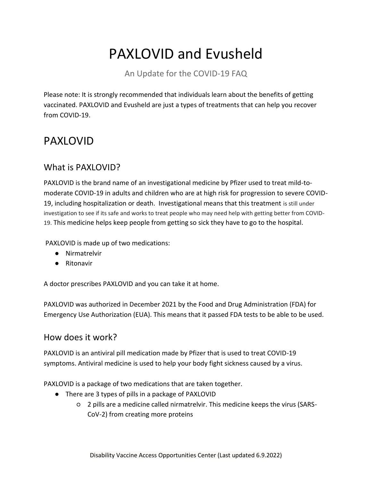# PAXLOVID and Evusheld

An Update for the COVID-19 FAQ

Please note: It is strongly recommended that individuals learn about the benefits of getting vaccinated. PAXLOVID and Evusheld are just a types of treatments that can help you recover from COVID-19.

# PAXLOVID

## What is PAXLOVID?

PAXLOVID is the brand name of an investigational medicine by Pfizer used to treat mild-tomoderate COVID-19 in adults and children who are at high risk for progression to severe COVID-19, including hospitalization or death. Investigational means that this treatment is still under investigation to see if its safe and works to treat people who may need help with getting better from COVID-19. This medicine helps keep people from getting so sick they have to go to the hospital.

PAXLOVID is made up of two medications:

- Nirmatrelvir
- Ritonavir

A doctor prescribes PAXLOVID and you can take it at home.

PAXLOVID was authorized in December 2021 by the Food and Drug Administration (FDA) for Emergency Use Authorization (EUA). This means that it passed FDA tests to be able to be used.

### How does it work?

PAXLOVID is an antiviral pill medication made by Pfizer that is used to treat COVID-19 symptoms. Antiviral medicine is used to help your body fight sickness caused by a virus.

PAXLOVID is a package of two medications that are taken together.

- There are 3 types of pills in a package of PAXLOVID
	- 2 pills are a medicine called nirmatrelvir. This medicine keeps the virus (SARS-CoV-2) from creating more proteins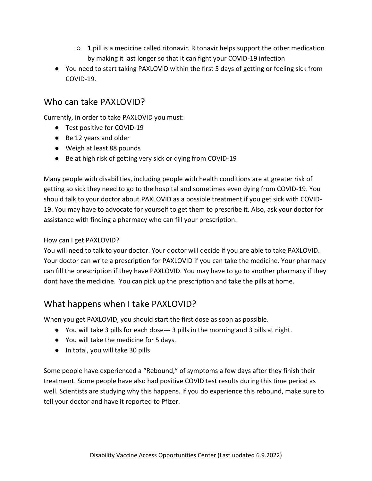- 1 pill is a medicine called ritonavir. Ritonavir helps support the other medication by making it last longer so that it can fight your COVID-19 infection
- You need to start taking PAXLOVID within the first 5 days of getting or feeling sick from COVID-19.

### Who can take PAXLOVID?

Currently, in order to take PAXLOVID you must:

- Test positive for COVID-19
- Be 12 years and older
- Weigh at least 88 pounds
- Be at high risk of getting very sick or dying from COVID-19

Many people with disabilities, including people with health conditions are at greater risk of getting so sick they need to go to the hospital and sometimes even dying from COVID-19. You should talk to your doctor about PAXLOVID as a possible treatment if you get sick with COVID-19. You may have to advocate for yourself to get them to prescribe it. Also, ask your doctor for assistance with finding a pharmacy who can fill your prescription.

#### How can I get PAXLOVID?

You will need to talk to your doctor. Your doctor will decide if you are able to take PAXLOVID. Your doctor can write a prescription for PAXLOVID if you can take the medicine. Your pharmacy can fill the prescription if they have PAXLOVID. You may have to go to another pharmacy if they dont have the medicine. You can pick up the prescription and take the pills at home.

### What happens when I take PAXLOVID?

When you get PAXLOVID, you should start the first dose as soon as possible.

- You will take 3 pills for each dose--- 3 pills in the morning and 3 pills at night.
- You will take the medicine for 5 days.
- In total, you will take 30 pills

Some people have experienced a "Rebound," of symptoms a few days after they finish their treatment. Some people have also had positive COVID test results during this time period as well. Scientists are studying why this happens. If you do experience this rebound, make sure to tell your doctor and have it reported to Pfizer.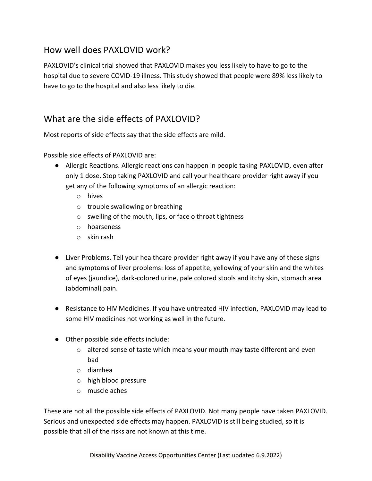## How well does PAXLOVID work?

PAXLOVID's clinical trial showed that PAXLOVID makes you less likely to have to go to the hospital due to severe COVID-19 illness. This study showed that people were 89% less likely to have to go to the hospital and also less likely to die.

## What are the side effects of PAXLOVID?

Most reports of side effects say that the side effects are mild.

Possible side effects of PAXLOVID are:

- Allergic Reactions. Allergic reactions can happen in people taking PAXLOVID, even after only 1 dose. Stop taking PAXLOVID and call your healthcare provider right away if you get any of the following symptoms of an allergic reaction:
	- o hives
	- o trouble swallowing or breathing
	- o swelling of the mouth, lips, or face o throat tightness
	- o hoarseness
	- o skin rash
- Liver Problems. Tell your healthcare provider right away if you have any of these signs and symptoms of liver problems: loss of appetite, yellowing of your skin and the whites of eyes (jaundice), dark-colored urine, pale colored stools and itchy skin, stomach area (abdominal) pain.
- Resistance to HIV Medicines. If you have untreated HIV infection, PAXLOVID may lead to some HIV medicines not working as well in the future.
- Other possible side effects include:
	- $\circ$  altered sense of taste which means your mouth may taste different and even bad
	- o diarrhea
	- o high blood pressure
	- o muscle aches

These are not all the possible side effects of PAXLOVID. Not many people have taken PAXLOVID. Serious and unexpected side effects may happen. PAXLOVID is still being studied, so it is possible that all of the risks are not known at this time.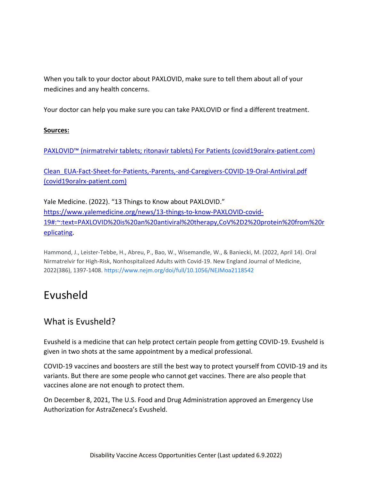When you talk to your doctor about PAXLOVID, make sure to tell them about all of your medicines and any health concerns.

Your doctor can help you make sure you can take PAXLOVID or find a different treatment.

### **Sources:**

PAXLOVID™ (nirmatrelvir tabl[ets; ritonavir tablets\) For Patients \(covid19oralrx-patient.com\)](https://www.covid19oralrx-patient.com/?source=google&HBX_PK=s_paxlovid&skwid=43700068270576697&gclid=37e5be879e241759a525dc18eba51587&gclsrc=3p.ds&)

[Clean\\_EUA-Fact-Sheet-for-Patients,-Parents,-and-Caregivers-COVID-19-Oral-Antiviral.pdf](https://www.covid19oralrx-patient.com/files/Clean_EUA-Fact-Sheet-for-Patients,-Parents,-and-Caregivers-COVID-19-Oral-Antiviral.pdf)  [\(covid19oralrx-patient.com\)](https://www.covid19oralrx-patient.com/files/Clean_EUA-Fact-Sheet-for-Patients,-Parents,-and-Caregivers-COVID-19-Oral-Antiviral.pdf)

Yale Medicine. (2022). "13 Things to Know about PAXLOVID." [https://www.yalemedicine.org/news/13-things-to-know-PAXLOVID-covid-](https://www.yalemedicine.org/news/13-things-to-know-paxlovid-covid-19#:~:text=Paxlovid%20is%20an%20antiviral%20therapy,CoV%2D2%20protein%20from%20replicating)[19#:~:text=PAXLOVID%20is%20an%20antiviral%20therapy,CoV%2D2%20protein%20from%20r](https://www.yalemedicine.org/news/13-things-to-know-paxlovid-covid-19#:~:text=Paxlovid%20is%20an%20antiviral%20therapy,CoV%2D2%20protein%20from%20replicating) [eplicating.](https://www.yalemedicine.org/news/13-things-to-know-paxlovid-covid-19#:~:text=Paxlovid%20is%20an%20antiviral%20therapy,CoV%2D2%20protein%20from%20replicating)

Hammond, J., Leister-Tebbe, H., Abreu, P., Bao, W., Wisemandle, W., & Baniecki, M. (2022, April 14). Oral Nirmatrelvir for High-Risk, Nonhospitalized Adults with Covid-19. New England Journal of Medicine, 2022(386), 1397-1408[. https://www.nejm.org/doi/full/10.1056/NEJMoa2118542](https://www.nejm.org/doi/full/10.1056/NEJMoa2118542)

# Evusheld

### What is Evusheld?

Evusheld is a medicine that can help protect certain people from getting COVID-19. Evusheld is given in two shots at the same appointment by a medical professional.

COVID-19 vaccines and boosters are still the best way to protect yourself from COVID-19 and its variants. But there are some people who cannot get vaccines. There are also people that vaccines alone are not enough to protect them.

On December 8, 2021, The U.S. Food and Drug Administration approved an Emergency Use Authorization for AstraZeneca's Evusheld.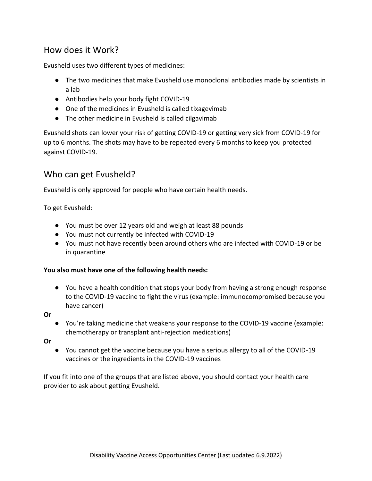### How does it Work?

Evusheld uses two different types of medicines:

- The two medicines that make Evusheld use monoclonal antibodies made by scientists in a lab
- Antibodies help your body fight COVID-19
- One of the medicines in Evusheld is called tixagevimab
- The other medicine in Evusheld is called cilgavimab

Evusheld shots can lower your risk of getting COVID-19 or getting very sick from COVID-19 for up to 6 months. The shots may have to be repeated every 6 months to keep you protected against COVID-19.

### Who can get Evusheld?

Evusheld is only approved for people who have certain health needs.

To get Evusheld:

- You must be over 12 years old and weigh at least 88 pounds
- You must not currently be infected with COVID-19
- You must not have recently been around others who are infected with COVID-19 or be in quarantine

### **You also must have one of the following health needs:**

- You have a health condition that stops your body from having a strong enough response to the COVID-19 vaccine to fight the virus (example: immunocompromised because you have cancer)
- **Or**
- You're taking medicine that weakens your response to the COVID-19 vaccine (example: chemotherapy or transplant anti-rejection medications)

**Or**

● You cannot get the vaccine because you have a serious allergy to all of the COVID-19 vaccines or the ingredients in the COVID-19 vaccines

If you fit into one of the groups that are listed above, you should contact your health care provider to ask about getting Evusheld.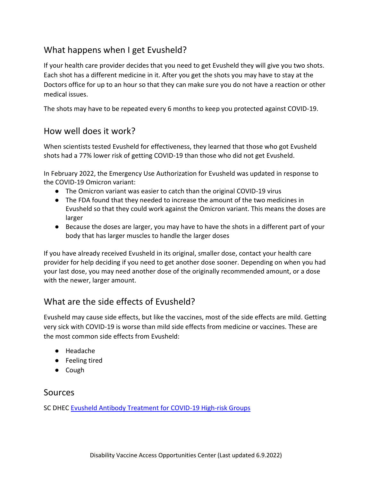## What happens when I get Evusheld?

If your health care provider decides that you need to get Evusheld they will give you two shots. Each shot has a different medicine in it. After you get the shots you may have to stay at the Doctors office for up to an hour so that they can make sure you do not have a reaction or other medical issues.

The shots may have to be repeated every 6 months to keep you protected against COVID-19.

### How well does it work?

When scientists tested Evusheld for effectiveness, they learned that those who got Evusheld shots had a 77% lower risk of getting COVID-19 than those who did not get Evusheld.

In February 2022, the Emergency Use Authorization for Evusheld was updated in response to the COVID-19 Omicron variant:

- The Omicron variant was easier to catch than the original COVID-19 virus
- The FDA found that they needed to increase the amount of the two medicines in Evusheld so that they could work against the Omicron variant. This means the doses are larger
- Because the doses are larger, you may have to have the shots in a different part of your body that has larger muscles to handle the larger doses

If you have already received Evusheld in its original, smaller dose, contact your health care provider for help deciding if you need to get another dose sooner. Depending on when you had your last dose, you may need another dose of the originally recommended amount, or a dose with the newer, larger amount.

### What are the side effects of Evusheld?

Evusheld may cause side effects, but like the vaccines, most of the side effects are mild. Getting very sick with COVID-19 is worse than mild side effects from medicine or vaccines. These are the most common side effects from Evusheld:

- Headache
- Feeling tired
- Cough

### Sources

SC DHEC Evusheld Antibody Treatment for COVID-19 High-risk Groups